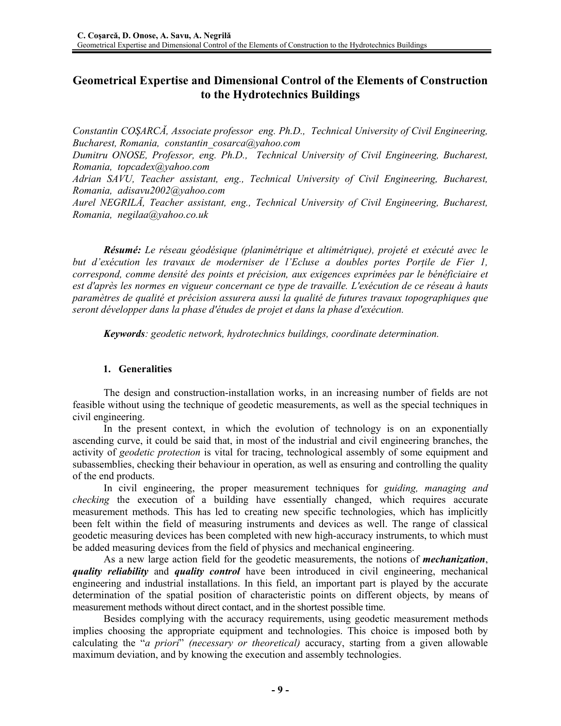# **Geometrical Expertise and Dimensional Control of the Elements of Construction to the Hydrotechnics Buildings**

*Constantin COŞARCĂ, Associate professor eng. Ph.D., Technical University of Civil Engineering, Bucharest, Romania, constantin\_cosarca@yahoo.com* 

*Dumitru ONOSE, Professor, eng. Ph.D., Technical University of Civil Engineering, Bucharest, Romania, topcadex@yahoo.com* 

*Adrian SAVU, Teacher assistant, eng., Technical University of Civil Engineering, Bucharest, Romania, adisavu2002@yahoo.com* 

*Aurel NEGRILĂ, Teacher assistant, eng., Technical University of Civil Engineering, Bucharest, Romania, negilaa@yahoo.co.uk* 

*Résumé: Le réseau géodésique (planimétrique et altimétrique), projeté et exécuté avec le but d'exécution les travaux de moderniser de l'Ecluse a doubles portes Porţile de Fier 1, correspond, comme densité des points et précision, aux exigences exprimées par le bénéficiaire et est d'après les normes en vigueur concernant ce type de travaille. L'exécution de ce réseau à hauts paramètres de qualité et précision assurera aussi la qualité de futures travaux topographiques que seront développer dans la phase d'études de projet et dans la phase d'exécution.* 

*Keywords: geodetic network, hydrotechnics buildings, coordinate determination.* 

### **1. Generalities**

The design and construction-installation works, in an increasing number of fields are not feasible without using the technique of geodetic measurements, as well as the special techniques in civil engineering.

In the present context, in which the evolution of technology is on an exponentially ascending curve, it could be said that, in most of the industrial and civil engineering branches, the activity of *geodetic protection* is vital for tracing, technological assembly of some equipment and subassemblies, checking their behaviour in operation, as well as ensuring and controlling the quality of the end products.

In civil engineering, the proper measurement techniques for *guiding, managing and checking* the execution of a building have essentially changed, which requires accurate measurement methods. This has led to creating new specific technologies, which has implicitly been felt within the field of measuring instruments and devices as well. The range of classical geodetic measuring devices has been completed with new high-accuracy instruments, to which must be added measuring devices from the field of physics and mechanical engineering.

As a new large action field for the geodetic measurements, the notions of *mechanization*, *quality reliability* and *quality control* have been introduced in civil engineering, mechanical engineering and industrial installations. In this field, an important part is played by the accurate determination of the spatial position of characteristic points on different objects, by means of measurement methods without direct contact, and in the shortest possible time.

Besides complying with the accuracy requirements, using geodetic measurement methods implies choosing the appropriate equipment and technologies. This choice is imposed both by calculating the "*a priori*" *(necessary or theoretical)* accuracy, starting from a given allowable maximum deviation, and by knowing the execution and assembly technologies.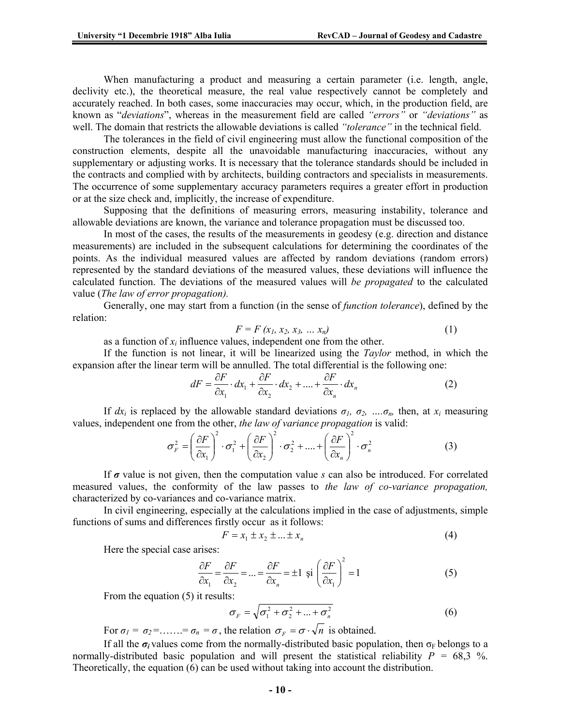When manufacturing a product and measuring a certain parameter (i.e. length, angle, declivity etc.), the theoretical measure, the real value respectively cannot be completely and accurately reached. In both cases, some inaccuracies may occur, which, in the production field, are known as "*deviations*", whereas in the measurement field are called *"errors"* or *"deviations"* as well. The domain that restricts the allowable deviations is called *"tolerance"* in the technical field.

The tolerances in the field of civil engineering must allow the functional composition of the construction elements, despite all the unavoidable manufacturing inaccuracies, without any supplementary or adjusting works. It is necessary that the tolerance standards should be included in the contracts and complied with by architects, building contractors and specialists in measurements. The occurrence of some supplementary accuracy parameters requires a greater effort in production or at the size check and, implicitly, the increase of expenditure.

Supposing that the definitions of measuring errors, measuring instability, tolerance and allowable deviations are known, the variance and tolerance propagation must be discussed too.

In most of the cases, the results of the measurements in geodesy (e.g. direction and distance measurements) are included in the subsequent calculations for determining the coordinates of the points. As the individual measured values are affected by random deviations (random errors) represented by the standard deviations of the measured values, these deviations will influence the calculated function. The deviations of the measured values will *be propagated* to the calculated value (*The law of error propagation).* 

Generally, one may start from a function (in the sense of *function tolerance*), defined by the relation:

$$
F = F(x_1, x_2, x_3, \dots, x_n)
$$
 (1)

as a function of  $x_i$  influence values, independent one from the other.

If the function is not linear, it will be linearized using the *Taylor* method, in which the expansion after the linear term will be annulled. The total differential is the following one:

$$
dF = \frac{\partial F}{\partial x_1} \cdot dx_1 + \frac{\partial F}{\partial x_2} \cdot dx_2 + \dots + \frac{\partial F}{\partial x_n} \cdot dx_n \tag{2}
$$

If  $dx_i$  is replaced by the allowable standard deviations  $\sigma_1$ ,  $\sigma_2$ , …. $\sigma_n$ , then, at  $x_i$  measuring values, independent one from the other, *the law of variance propagation* is valid:

$$
\sigma_F^2 = \left(\frac{\partial F}{\partial x_1}\right)^2 \cdot \sigma_1^2 + \left(\frac{\partial F}{\partial x_2}\right)^2 \cdot \sigma_2^2 + \dots + \left(\frac{\partial F}{\partial x_n}\right)^2 \cdot \sigma_n^2 \tag{3}
$$

If *σ* value is not given, then the computation value *s* can also be introduced. For correlated measured values, the conformity of the law passes to *the law of co-variance propagation,*  characterized by co-variances and co-variance matrix.

In civil engineering, especially at the calculations implied in the case of adjustments, simple functions of sums and differences firstly occur as it follows:

$$
F = x_1 \pm x_2 \pm ... \pm x_n \tag{4}
$$

Here the special case arises:

$$
\frac{\partial F}{\partial x_1} = \frac{\partial F}{\partial x_2} = \dots = \frac{\partial F}{\partial x_n} = \pm 1 \text{ și } \left(\frac{\partial F}{\partial x_1}\right)^2 = 1
$$
 (5)

From the equation (5) it results:

$$
\sigma_F = \sqrt{\sigma_1^2 + \sigma_2^2 + \dots + \sigma_n^2}
$$
 (6)

For  $\sigma_1 = \sigma_2 = \ldots = \sigma_n = \sigma$ , the relation  $\sigma_F = \sigma \cdot \sqrt{n}$  is obtained.

If all the  $\sigma_i$  values come from the normally-distributed basic population, then  $\sigma_F$  belongs to a normally-distributed basic population and will present the statistical reliability *P =* 68,3 %. Theoretically, the equation (6) can be used without taking into account the distribution.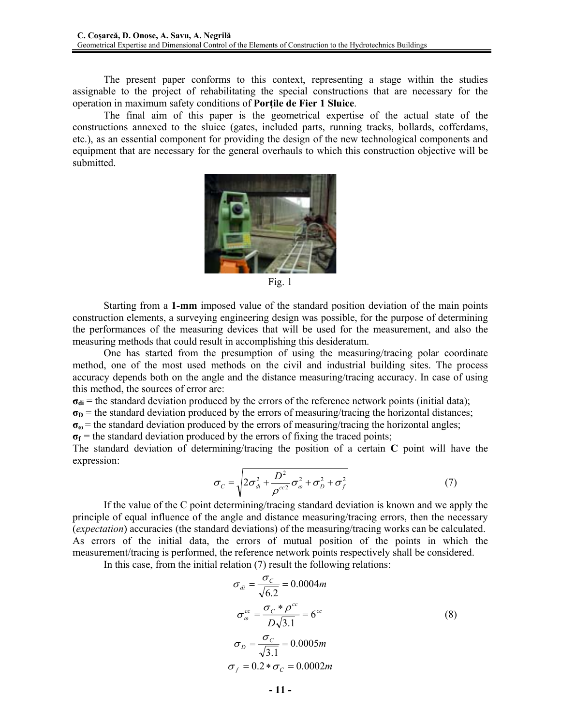The present paper conforms to this context, representing a stage within the studies assignable to the project of rehabilitating the special constructions that are necessary for the operation in maximum safety conditions of **Porţile de Fier 1 Sluice**.

The final aim of this paper is the geometrical expertise of the actual state of the constructions annexed to the sluice (gates, included parts, running tracks, bollards, cofferdams, etc.), as an essential component for providing the design of the new technological components and equipment that are necessary for the general overhauls to which this construction objective will be submitted.



Fig. 1

Starting from a **1-mm** imposed value of the standard position deviation of the main points construction elements, a surveying engineering design was possible, for the purpose of determining the performances of the measuring devices that will be used for the measurement, and also the measuring methods that could result in accomplishing this desideratum.

One has started from the presumption of using the measuring/tracing polar coordinate method, one of the most used methods on the civil and industrial building sites. The process accuracy depends both on the angle and the distance measuring/tracing accuracy. In case of using this method, the sources of error are:

 $\sigma_{di}$  = the standard deviation produced by the errors of the reference network points (initial data);

 $\sigma$  $p$  = the standard deviation produced by the errors of measuring/tracing the horizontal distances;

 $\sigma_{\omega}$  = the standard deviation produced by the errors of measuring/tracing the horizontal angles;

 $\sigma_f$  = the standard deviation produced by the errors of fixing the traced points;

The standard deviation of determining/tracing the position of a certain **C** point will have the expression:

$$
\sigma_C = \sqrt{2\sigma_{di}^2 + \frac{D^2}{\rho^{cc^2}}\sigma_{\omega}^2 + \sigma_D^2 + \sigma_f^2}
$$
 (7)

If the value of the C point determining/tracing standard deviation is known and we apply the principle of equal influence of the angle and distance measuring/tracing errors, then the necessary (*expectation*) accuracies (the standard deviations) of the measuring/tracing works can be calculated. As errors of the initial data, the errors of mutual position of the points in which the measurement/tracing is performed, the reference network points respectively shall be considered.

In this case, from the initial relation (7) result the following relations:

$$
\sigma_{di} = \frac{\sigma_C}{\sqrt{6.2}} = 0.0004m
$$
  

$$
\sigma_{\omega}^{cc} = \frac{\sigma_C * \rho^{\omega}}{D\sqrt{3.1}} = 6^{\omega}
$$
  

$$
\sigma_D = \frac{\sigma_C}{\sqrt{3.1}} = 0.0005m
$$
  

$$
\sigma_f = 0.2 * \sigma_C = 0.0002m
$$
 (8)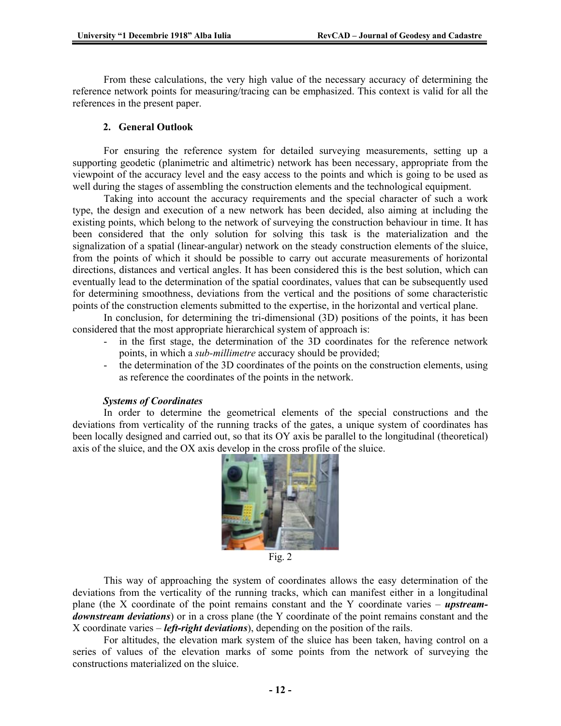From these calculations, the very high value of the necessary accuracy of determining the reference network points for measuring/tracing can be emphasized. This context is valid for all the references in the present paper.

### **2. General Outlook**

For ensuring the reference system for detailed surveying measurements, setting up a supporting geodetic (planimetric and altimetric) network has been necessary, appropriate from the viewpoint of the accuracy level and the easy access to the points and which is going to be used as well during the stages of assembling the construction elements and the technological equipment.

Taking into account the accuracy requirements and the special character of such a work type, the design and execution of a new network has been decided, also aiming at including the existing points, which belong to the network of surveying the construction behaviour in time. It has been considered that the only solution for solving this task is the materialization and the signalization of a spatial (linear-angular) network on the steady construction elements of the sluice, from the points of which it should be possible to carry out accurate measurements of horizontal directions, distances and vertical angles. It has been considered this is the best solution, which can eventually lead to the determination of the spatial coordinates, values that can be subsequently used for determining smoothness, deviations from the vertical and the positions of some characteristic points of the construction elements submitted to the expertise, in the horizontal and vertical plane.

In conclusion, for determining the tri-dimensional (3D) positions of the points, it has been considered that the most appropriate hierarchical system of approach is:

- in the first stage, the determination of the 3D coordinates for the reference network points, in which a *sub-millimetre* accuracy should be provided;
- the determination of the 3D coordinates of the points on the construction elements, using as reference the coordinates of the points in the network.

### *Systems of Coordinates*

In order to determine the geometrical elements of the special constructions and the deviations from verticality of the running tracks of the gates, a unique system of coordinates has been locally designed and carried out, so that its OY axis be parallel to the longitudinal (theoretical) axis of the sluice, and the OX axis develop in the cross profile of the sluice.



Fig. 2

This way of approaching the system of coordinates allows the easy determination of the deviations from the verticality of the running tracks, which can manifest either in a longitudinal plane (the X coordinate of the point remains constant and the Y coordinate varies – *upstreamdownstream deviations*) or in a cross plane (the Y coordinate of the point remains constant and the X coordinate varies – *left-right deviations*), depending on the position of the rails.

For altitudes, the elevation mark system of the sluice has been taken, having control on a series of values of the elevation marks of some points from the network of surveying the constructions materialized on the sluice.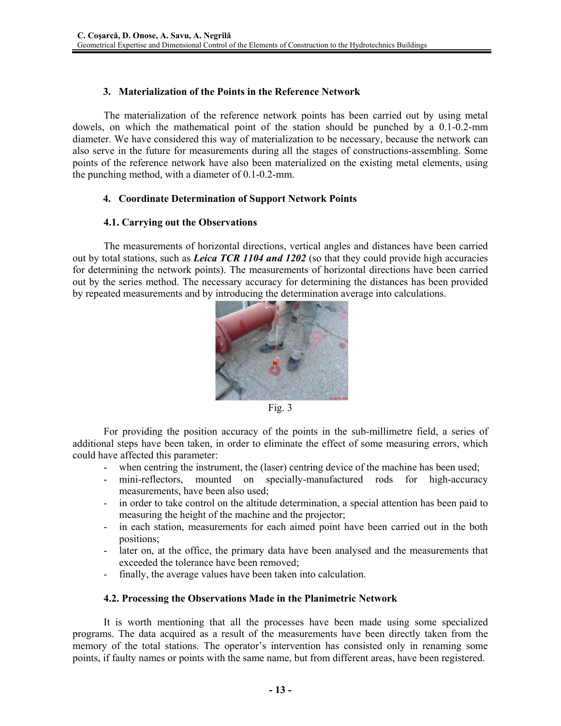# **3. Materialization of the Points in the Reference Network**

The materialization of the reference network points has been carried out by using metal dowels, on which the mathematical point of the station should be punched by a 0.1-0.2-mm diameter. We have considered this way of materialization to be necessary, because the network can also serve in the future for measurements during all the stages of constructions-assembling. Some points of the reference network have also been materialized on the existing metal elements, using the punching method, with a diameter of 0.1-0.2-mm.

## **4. Coordinate Determination of Support Network Points**

### **4.1. Carrying out the Observations**

The measurements of horizontal directions, vertical angles and distances have been carried out by total stations, such as *Leica TCR 1104 and 1202* (so that they could provide high accuracies for determining the network points). The measurements of horizontal directions have been carried out by the series method. The necessary accuracy for determining the distances has been provided by repeated measurements and by introducing the determination average into calculations.



Fig. 3

For providing the position accuracy of the points in the sub-millimetre field, a series of additional steps have been taken, in order to eliminate the effect of some measuring errors, which could have affected this parameter:

- when centring the instrument, the (laser) centring device of the machine has been used;
- mini-reflectors, mounted on specially-manufactured rods for high-accuracy measurements, have been also used;
- in order to take control on the altitude determination, a special attention has been paid to measuring the height of the machine and the projector;
- in each station, measurements for each aimed point have been carried out in the both positions;
- later on, at the office, the primary data have been analysed and the measurements that exceeded the tolerance have been removed;
- finally, the average values have been taken into calculation.

# **4.2. Processing the Observations Made in the Planimetric Network**

It is worth mentioning that all the processes have been made using some specialized programs. The data acquired as a result of the measurements have been directly taken from the memory of the total stations. The operator's intervention has consisted only in renaming some points, if faulty names or points with the same name, but from different areas, have been registered.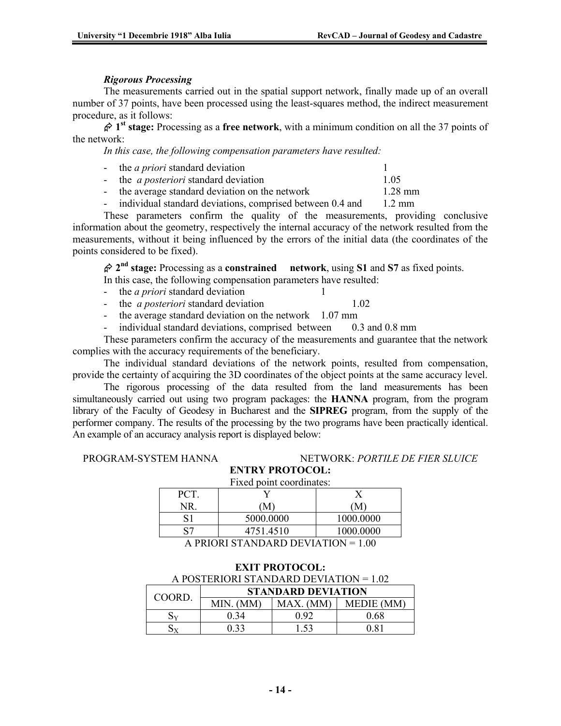### *Rigorous Processing*

The measurements carried out in the spatial support network, finally made up of an overall number of 37 points, have been processed using the least-squares method, the indirect measurement procedure, as it follows:

¬ **1st stage:** Processing as a **free network**, with a minimum condition on all the 37 points of the network:

*In this case, the following compensation parameters have resulted:* 

- the *a priori* standard deviation 1 - the *a posteriori* standard deviation 1.05 - the average standard deviation on the network 1.28 mm
- individual standard deviations, comprised between 0.4 and 1.2 mm

These parameters confirm the quality of the measurements, providing conclusive information about the geometry, respectively the internal accuracy of the network resulted from the measurements, without it being influenced by the errors of the initial data (the coordinates of the points considered to be fixed).

¬ **2nd stage:** Processing as a **constrained network**, using **S1** and **S7** as fixed points.

In this case, the following compensation parameters have resulted:

- the *a priori* standard deviation 1
- the *a posteriori* standard deviation 1.02
- the average standard deviation on the network 1.07 mm
- individual standard deviations, comprised between 0.3 and 0.8 mm

These parameters confirm the accuracy of the measurements and guarantee that the network complies with the accuracy requirements of the beneficiary.

The individual standard deviations of the network points, resulted from compensation, provide the certainty of acquiring the 3D coordinates of the object points at the same accuracy level.

The rigorous processing of the data resulted from the land measurements has been simultaneously carried out using two program packages: the **HANNA** program, from the program library of the Faculty of Geodesy in Bucharest and the **SIPREG** program, from the supply of the performer company. The results of the processing by the two programs have been practically identical. An example of an accuracy analysis report is displayed below:

### PROGRAM-SYSTEM HANNA NETWORK: *PORTILE DE FIER SLUICE*

**ENTRY PROTOCOL:**  Fixed point coordinates:

| 1 mea point coorannatos.                                                           |           |           |  |
|------------------------------------------------------------------------------------|-----------|-----------|--|
| PС                                                                                 |           |           |  |
|                                                                                    | M         | 'M        |  |
| 31                                                                                 | 5000.0000 | 1000.0000 |  |
| 97                                                                                 | 4751.4510 | 1000.0000 |  |
| $\lambda$ priori $\alpha$ in $\lambda$ in $\beta$ priorities in $\alpha$<br>$\sim$ |           |           |  |

A PRIORI STANDARD DEVIATION = 1.00

**EXIT PROTOCOL:** 

| A POSTERIORI STANDARD DEVIATION = 1.02 |                           |          |                   |
|----------------------------------------|---------------------------|----------|-------------------|
| <b>COORD</b>                           | <b>STANDARD DEVIATION</b> |          |                   |
|                                        | MIN. (MM)                 | MAX. (MM | <b>MEDIE</b> (MM) |
|                                        | 0 34                      | 0 ዓ2     | 0 68              |
|                                        |                           | l 53     |                   |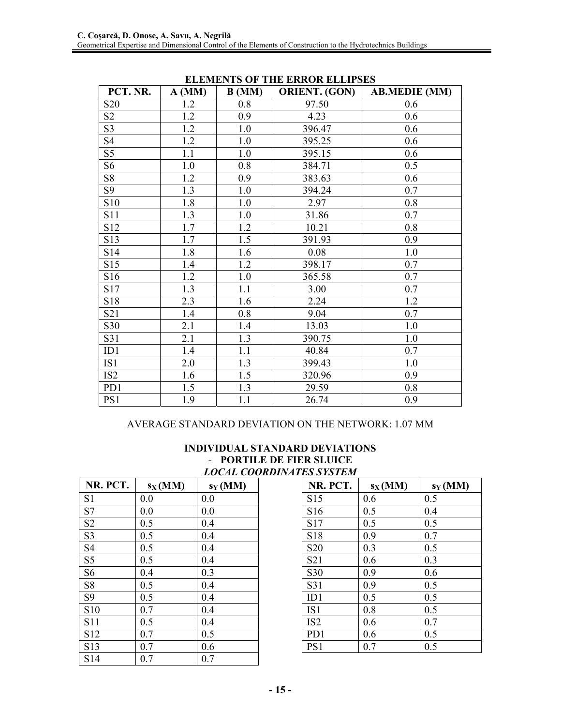| PCT. NR.        | $A$ (MM) | B(MM) | <b>ORIENT. (GON)</b> | <b>AB.MEDIE (MM)</b> |
|-----------------|----------|-------|----------------------|----------------------|
| S <sub>20</sub> | 1.2      | 0.8   | 97.50                | 0.6                  |
| S <sub>2</sub>  | 1.2      | 0.9   | 4.23                 | 0.6                  |
| S <sub>3</sub>  | 1.2      | 1.0   | 396.47               | 0.6                  |
| S4              | 1.2      | 1.0   | 395.25               | 0.6                  |
| S <sub>5</sub>  | 1.1      | 1.0   | 395.15               | 0.6                  |
| S <sub>6</sub>  | $1.0\,$  | 0.8   | 384.71               | 0.5                  |
| S <sub>8</sub>  | 1.2      | 0.9   | 383.63               | 0.6                  |
| S9              | 1.3      | 1.0   | 394.24               | 0.7                  |
| S <sub>10</sub> | 1.8      | 1.0   | 2.97                 | 0.8                  |
| S <sub>11</sub> | 1.3      | 1.0   | 31.86                | 0.7                  |
| S12             | 1.7      | 1.2   | 10.21                | 0.8                  |
| S13             | 1.7      | 1.5   | 391.93               | 0.9                  |
| S14             | 1.8      | 1.6   | 0.08                 | 1.0                  |
| S15             | 1.4      | 1.2   | 398.17               | 0.7                  |
| S16             | 1.2      | 1.0   | 365.58               | 0.7                  |
| S17             | 1.3      | 1.1   | 3.00                 | 0.7                  |
| S18             | 2.3      | 1.6   | 2.24                 | 1.2                  |
| S <sub>21</sub> | 1.4      | 0.8   | 9.04                 | 0.7                  |
| S30             | 2.1      | 1.4   | 13.03                | 1.0                  |
| S31             | 2.1      | 1.3   | 390.75               | 1.0                  |
| ID1             | 1.4      | 1.1   | 40.84                | 0.7                  |
| IS1             | 2.0      | 1.3   | 399.43               | 1.0                  |
| IS <sub>2</sub> | 1.6      | 1.5   | 320.96               | 0.9                  |
| PD1             | 1.5      | 1.3   | 29.59                | 0.8                  |
| PS1             | 1.9      | 1.1   | 26.74                | 0.9                  |

### **ELEMENTS OF THE ERROR ELLIPSES**

# AVERAGE STANDARD DEVIATION ON THE NETWORK: 1.07 MM

|                   |           | - FUKTILE DE FIER        |         |
|-------------------|-----------|--------------------------|---------|
|                   |           | <b>LOCAL COORDINATE.</b> |         |
| NR. PCT.          | $s_X(MM)$ | $s_Y(MM)$                |         |
| S <sub>1</sub>    | 0.0       | 0.0                      |         |
| S7                | 0.0       | 0.0                      | Š       |
| S <sub>2</sub>    | 0.5       | 0.4                      | $\zeta$ |
| S <sub>3</sub>    | 0.5       | 0.4                      | $\zeta$ |
| S <sub>4</sub>    | 0.5       | 0.4                      | $\zeta$ |
| S <sub>5</sub>    | 0.5       | 0.4                      | $\zeta$ |
| S <sub>6</sub>    | 0.4       | 0 <sub>3</sub>           | Š       |
| $S_{\mathcal{R}}$ |           | 04                       |         |

## **INDIVIDUAL STANDARD DEVIATIONS**  - **PORTILE DE FIER SLUICE** *LOCAL COORDINATES SYSTEM*

| NR. PCT.        | $s_X(MM)$ | $s_Y(MM)$ |
|-----------------|-----------|-----------|
| S <sub>15</sub> | 0.6       | 0.5       |
| S <sub>16</sub> | 0.5       | 0.4       |
| S17             | 0.5       | 0.5       |
| S <sub>18</sub> | 0.9       | 0.7       |
| S <sub>20</sub> | 0.3       | 0.5       |
| S21             | 0.6       | 0.3       |
| S <sub>30</sub> | 0.9       | 0.6       |
| S31             | 0.9       | 0.5       |
| ID1             | 0.5       | 0.5       |
| IS <sub>1</sub> | 0.8       | 0.5       |
| IS <sub>2</sub> | 0.6       | 0.7       |
| PD1             | 0.6       | 0.5       |
| PS1             | 0.7       | 0.5       |

|                 | $\overline{\phantom{a}}$ | ,   |
|-----------------|--------------------------|-----|
| S1              | 0.0                      | 0.0 |
| S7              | 0.0                      | 0.0 |
| S <sub>2</sub>  | 0.5                      | 0.4 |
| S <sub>3</sub>  | 0.5                      | 0.4 |
| S4              | 0.5                      | 0.4 |
| S5              | 0.5                      | 0.4 |
| S <sub>6</sub>  | 0.4                      | 0.3 |
| S8              | 0.5                      | 0.4 |
| S <sub>9</sub>  | 0.5                      | 0.4 |
| S10             | 0.7                      | 0.4 |
| S11             | 0.5                      | 0.4 |
| S <sub>12</sub> | 0.7                      | 0.5 |
| S13             | 0.7                      | 0.6 |
| S14             | 0.7                      | 0.7 |